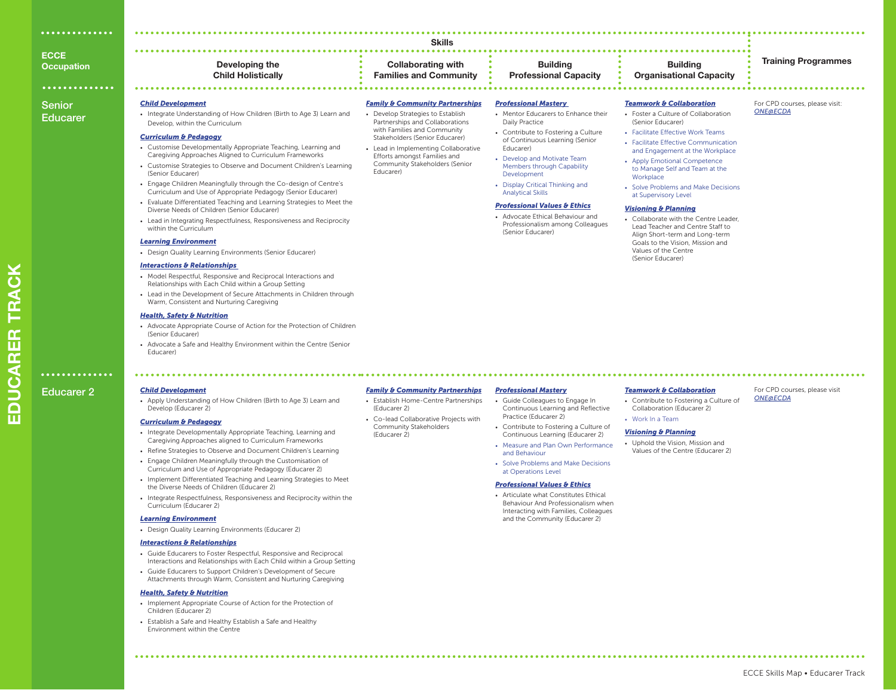| .                 |                |                        |
|-------------------|----------------|------------------------|
|                   |                | <b>Skills</b>          |
| <b>ECCE</b>       |                |                        |
| <b>Occupation</b> | Developing the | <b>Collaborating w</b> |

**Child Holistically**

• Integrate Understanding of How Children (Birth to Age 3) Learn and

• Customise Developmentally Appropriate Teaching, Learning and Caregiving Approaches Aligned to Curriculum Frameworks • Customise Strategies to Observe and Document Children's Learning

• Engage Children Meaningfully through the Co-design of Centre's Curriculum and Use of Appropriate Pedagogy (Senior Educarer) • Evaluate Differentiated Teaching and Learning Strategies to Meet the

• Lead in Integrating Respectfulness, Responsiveness and Reciprocity

Diverse Needs of Children (Senior Educarer)

Warm, Consistent and Nurturing Caregiving

• Design Quality Learning Environments (Senior Educarer)

• Model Respectful, Responsive and Reciprocal Interactions and Relationships with Each Child within a Group Setting

• Lead in the Development of Secure Attachments in Children through

• Advocate Appropriate Course of Action for the Protection of Children

• Advocate a Safe and Healthy Environment within the Centre (Senior

#### **Training Programmes Developing the Collaborating with Families and Community Building Professional Capacity**

• Develop Strategies to Establish Partnerships and Collaborations with Families and Community Stakeholders (Senior Educarer) • Lead in Implementing Collaborative Efforts amongst Families and Community Stakeholders (Senior

*Family & Community Partnerships* • Establish Home-Centre Partnerships

• Co-lead Collaborative Projects with Community Stakeholders

(Educarer 2)

(Educarer 2)

Educarer)

### **Building Organisational Capacity**

For CPD courses, please visit:

For CPD courses, please visit

*ONE@ECDA*

*ONE@ECDA*

## ............. Senior

Educarer

Educarer 2

. . . . . . . . . . . . . .

|  | <b>Child Development</b> |
|--|--------------------------|

(Senior Educarer)

Educarer)

*Child Development*

(Senior Educarer)

within the Curriculum *Learning Environment*

*Interactions & Relationships*

*Health, Safety & Nutrition*

*Curriculum & Pedagogy*

Develop, within the Curriculum

• Apply Understanding of How Children (Birth to Age 3) Learn and Develop (Educarer 2)

### *Curriculum & Pedagogy*

- Integrate Developmentally Appropriate Teaching, Learning and Caregiving Approaches aligned to Curriculum Frameworks • Refine Strategies to Observe and Document Children's Learning
- Engage Children Meaningfully through the Customisation of
- Curriculum and Use of Appropriate Pedagogy (Educarer 2) • Implement Differentiated Teaching and Learning Strategies to Meet
- the Diverse Needs of Children (Educarer 2)
- Integrate Respectfulness, Responsiveness and Reciprocity within the Curriculum (Educarer 2)

### *Learning Environment*

• Design Quality Learning Environments (Educarer 2)

### *Interactions & Relationships*

- Guide Educarers to Foster Respectful, Responsive and Reciprocal Interactions and Relationships with Each Child within a Group Setting
- Guide Educarers to Support Children's Development of Secure
- Attachments through Warm, Consistent and Nurturing Caregiving

### *Health, Safety & Nutrition*

- Implement Appropriate Course of Action for the Protection of Children (Educarer 2)
- Establish a Safe and Healthy Establish a Safe and Healthy Environment within the Centre

#### *Family & Community Partnerships Professional Mastery*

- Mentor Educarers to Enhance their Daily Practice • Contribute to Fostering a Culture
- of Continuous Learning (Senior Educarer) • Develop and Motivate Team Members through Capability
- Development • Display Critical Thinking and
- Analytical Skills

### *Professional Values & Ethics*

• Advocate Ethical Behaviour and Professionalism among Colleagues (Senior Educarer)

### *Teamwork & Collaboration*

- Foster a Culture of Collaboration (Senior Educarer)
- Facilitate Effective Work Teams • Facilitate Effective Communication
- and Engagement at the Workplace • Apply Emotional Competence
- to Manage Self and Team at the **Workplace**
- Solve Problems and Make Decisions at Supervisory Level

### *Visioning & Planning*

• Collaborate with the Centre Leader, Lead Teacher and Centre Staff to Align Short-term and Long-term Goals to the Vision, Mission and Values of the Centre (Senior Educarer)

## *Professional Mastery*

- Guide Colleagues to Engage In Continuous Learning and Reflective Practice (Educarer 2)
- Contribute to Fostering a Culture of Continuous Learning (Educarer 2)
- Measure and Plan Own Performance and Behaviour
- Solve Problems and Make Decisions at Operations Level

### *Professional Values & Ethics*

• Articulate what Constitutes Ethical Behaviour And Professionalism when Interacting with Families, Colleagues and the Community (Educarer 2)

#### *Teamwork & Collaboration*

- Contribute to Fostering a Culture of Collaboration (Educarer 2)
	-
- Work In a Team

### *Visioning & Planning*

• Uphold the Vision, Mission and Values of the Centre (Educarer 2)

ECCE Skills Map • Educarer Track